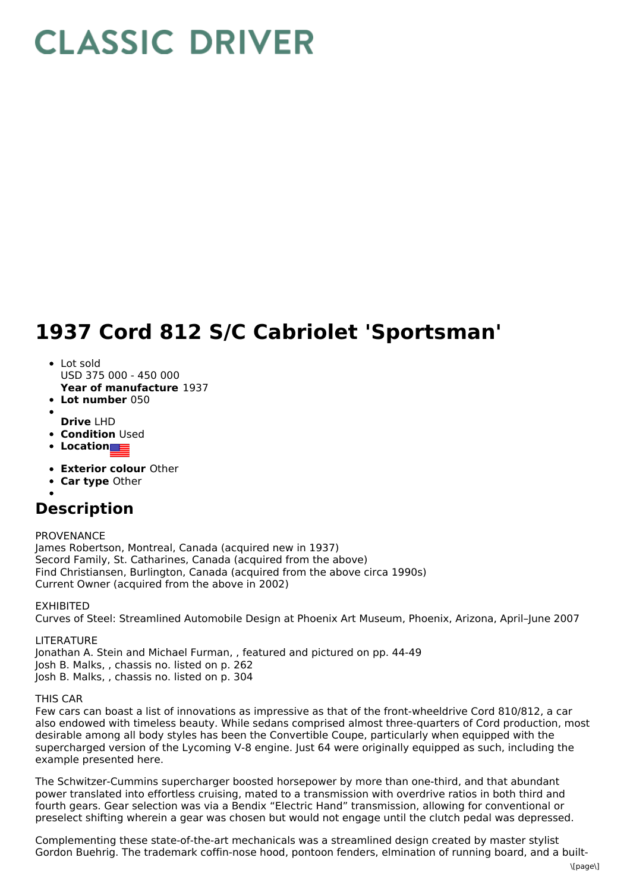## **CLASSIC DRIVER**

## **1937 Cord 812 S/C Cabriolet 'Sportsman'**

- Lot sold USD 375 000 - 450 000
- **Year of manufacture** 1937
- **Lot number** 050
- **Drive** LHD
- **Condition Used**
- **Location**
- **Exterior colour** Other
- **Car type** Other
- 

## **Description**

PROVENANCE

James Robertson, Montreal, Canada (acquired new in 1937) Secord Family, St. Catharines, Canada (acquired from the above) Find Christiansen, Burlington, Canada (acquired from the above circa 1990s) Current Owner (acquired from the above in 2002)

EXHIBITED

Curves of Steel: Streamlined Automobile Design at Phoenix Art Museum, Phoenix, Arizona, April–June 2007

**LITERATURE** Jonathan A. Stein and Michael Furman, , featured and pictured on pp. 44-49 Josh B. Malks, , chassis no. listed on p. 262 Josh B. Malks, , chassis no. listed on p. 304

## THIS CAR

Few cars can boast a list of innovations as impressive as that of the front-wheeldrive Cord 810/812, a car also endowed with timeless beauty. While sedans comprised almost three-quarters of Cord production, most desirable among all body styles has been the Convertible Coupe, particularly when equipped with the supercharged version of the Lycoming V-8 engine. Just 64 were originally equipped as such, including the example presented here.

The Schwitzer-Cummins supercharger boosted horsepower by more than one-third, and that abundant power translated into effortless cruising, mated to a transmission with overdrive ratios in both third and fourth gears. Gear selection was via a Bendix "Electric Hand" transmission, allowing for conventional or preselect shifting wherein a gear was chosen but would not engage until the clutch pedal was depressed.

Complementing these state-of-the-art mechanicals was a streamlined design created by master stylist Gordon Buehrig. The trademark coffin-nose hood, pontoon fenders, elmination of running board, and a built